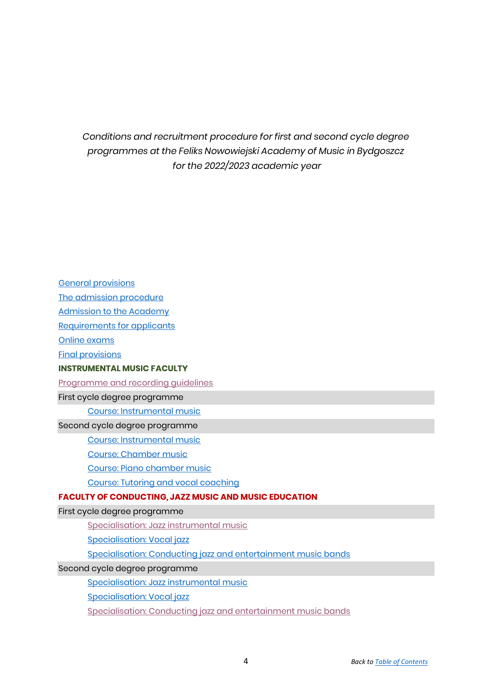*Conditions and recruitment procedure for first and second cycle degree programmes at the Feliks Nowowiejski Academy of Music in Bydgoszcz for the 2022/2023 academic year*

<span id="page-0-0"></span>[General provisions](#page-0-1) [The admission procedure](#page-2-0) [Admission to the Academy](#page-4-0) [Requirements for applicants](#page-5-0) [Online exams](#page-8-0) [Final provisions](#page-8-1) **INSTRUMENTAL MUSIC FACULTY** [Programme and recording guidelines](#page-20-0) First cycle degree programme [Course: Instrumental music](#page-10-0) Second cycle degree programme [Course: Instrumental music](#page-11-0) [Course: Chamber music](#page-12-0) [Course: Piano chamber music](#page-12-1) [Course: Tutoring and vocal coaching](#page-13-0) **FACULTY OF CONDUCTING, JAZZ MUSIC AND MUSIC EDUCATION** First cycle degree programme [Specialisation: Jazz instrumental music](#page-14-0) [Specialisation: Vocal jazz](#page-15-0) [Specialisation: Conducting jazz and entertainment music bands](#page-16-0) Second cycle degree programme [Specialisation: Jazz instrumental music](#page-18-0) [Specialisation: Vocal jazz](#page-18-1)

<span id="page-0-1"></span>[Specialisation: Conducting jazz and entertainment music bands](#page-19-0)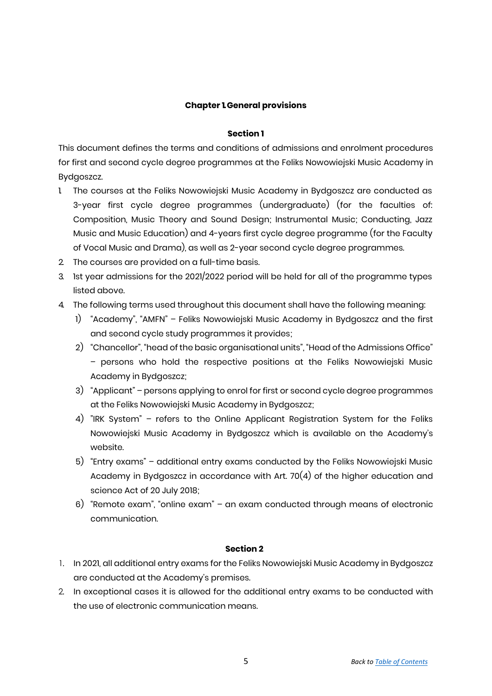## **Chapter 1.General provisions**

#### **Section 1**

This document defines the terms and conditions of admissions and enrolment procedures for first and second cycle degree programmes at the Feliks Nowowiejski Music Academy in Bydgoszcz.

- 1. The courses at the Feliks Nowowiejski Music Academy in Bydgoszcz are conducted as 3-year first cycle degree programmes (undergraduate) (for the faculties of: Composition, Music Theory and Sound Design; Instrumental Music; Conducting, Jazz Music and Music Education) and 4-years first cycle degree programme (for the Faculty of Vocal Music and Drama), as well as 2-year second cycle degree programmes.
- 2. The courses are provided on a full-time basis.
- 3. 1st year admissions for the 2021/2022 period will be held for all of the programme types listed above.
- 4. The following terms used throughout this document shall have the following meaning:
	- 1) "Academy", "AMFN" Feliks Nowowiejski Music Academy in Bydgoszcz and the first and second cycle study programmes it provides;
	- 2) "Chancellor", "head of the basic organisational units", "Head of the Admissions Office" – persons who hold the respective positions at the Feliks Nowowiejski Music Academy in Bydgoszcz;
	- 3) "Applicant" persons applying to enrol for first or second cycle degree programmes at the Feliks Nowowiejski Music Academy in Bydgoszcz;
	- 4) "IRK System" refers to the Online Applicant Registration System for the Feliks Nowowiejski Music Academy in Bydgoszcz which is available on the Academy's website.
	- 5) "Entry exams" additional entry exams conducted by the Feliks Nowowiejski Music Academy in Bydgoszcz in accordance with Art. 70(4) of the higher education and science Act of 20 July 2018;
	- 6) "Remote exam", "online exam" an exam conducted through means of electronic communication.

#### **Section 2**

- 1. In 2021, all additional entry exams for the Feliks Nowowiejski Music Academy in Bydgoszcz are conducted at the Academy's premises.
- 2. In exceptional cases it is allowed for the additional entry exams to be conducted with the use of electronic communication means.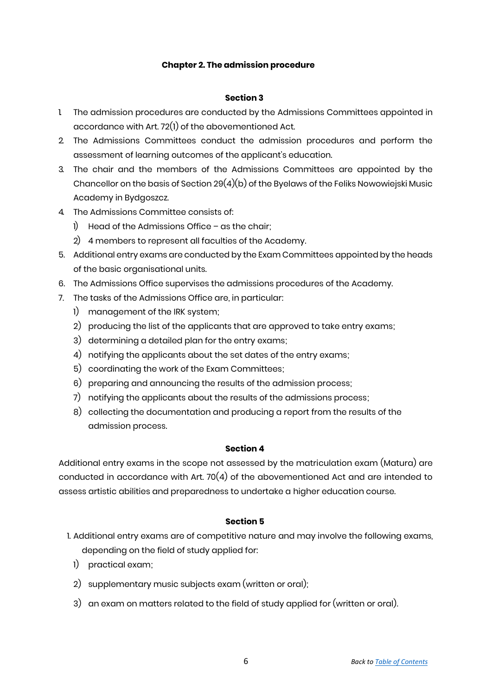## **Chapter 2. The admission procedure**

#### <span id="page-2-0"></span>**Section 3**

- 1. The admission procedures are conducted by the Admissions Committees appointed in accordance with Art. 72(1) of the abovementioned Act.
- 2. The Admissions Committees conduct the admission procedures and perform the assessment of learning outcomes of the applicant's education.
- 3. The chair and the members of the Admissions Committees are appointed by the Chancellor on the basis of Section  $29(4)(b)$  of the Byelaws of the Feliks Nowowiejski Music Academy in Bydgoszcz.
- 4. The Admissions Committee consists of:
	- 1) Head of the Admissions Office as the chair;
	- 2) 4 members to represent all faculties of the Academy.
- 5. Additional entry exams are conducted by the Exam Committees appointed by the heads of the basic organisational units.
- 6. The Admissions Office supervises the admissions procedures of the Academy.
- 7. The tasks of the Admissions Office are, in particular:
	- 1) management of the IRK system;
	- 2) producing the list of the applicants that are approved to take entry exams;
	- 3) determining a detailed plan for the entry exams;
	- 4) notifying the applicants about the set dates of the entry exams;
	- 5) coordinating the work of the Exam Committees;
	- 6) preparing and announcing the results of the admission process;
	- 7) notifying the applicants about the results of the admissions process;
	- 8) collecting the documentation and producing a report from the results of the admission process.

## **Section 4**

Additional entry exams in the scope not assessed by the matriculation exam (Matura) are conducted in accordance with Art. 70(4) of the abovementioned Act and are intended to assess artistic abilities and preparedness to undertake a higher education course.

## **Section 5**

- 1. Additional entry exams are of competitive nature and may involve the following exams, depending on the field of study applied for:
	- 1) practical exam;
	- 2) supplementary music subjects exam (written or oral);
	- 3) an exam on matters related to the field of study applied for (written or oral).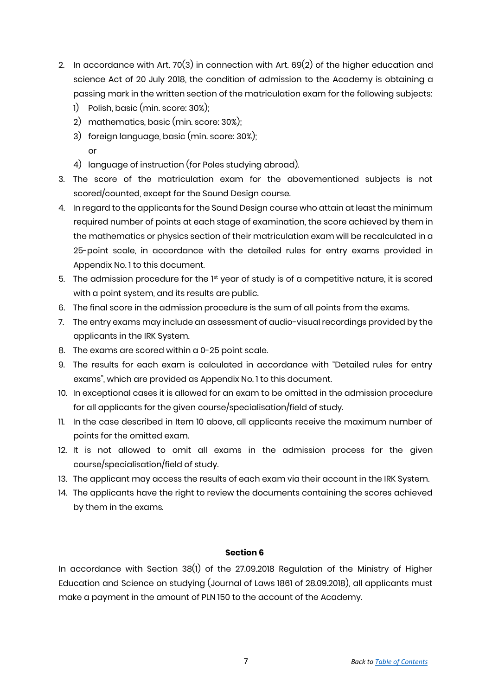- 2. In accordance with Art. 70(3) in connection with Art.  $69(2)$  of the higher education and science Act of 20 July 2018, the condition of admission to the Academy is obtaining a passing mark in the written section of the matriculation exam for the following subjects:
	- 1) Polish, basic (min. score: 30%);
	- 2) mathematics, basic (min. score: 30%);
	- 3) foreign language, basic (min. score: 30%); or
	- 4) language of instruction (for Poles studying abroad).
- 3. The score of the matriculation exam for the abovementioned subjects is not scored/counted, except for the Sound Design course.
- 4. In regard to the applicants for the Sound Design course who attain at least the minimum required number of points at each stage of examination, the score achieved by them in the mathematics or physics section of their matriculation exam will be recalculated in a 25-point scale, in accordance with the detailed rules for entry exams provided in Appendix No. 1 to this document.
- 5. The admission procedure for the  $1<sup>st</sup>$  year of study is of a competitive nature, it is scored with a point system, and its results are public.
- 6. The final score in the admission procedure is the sum of all points from the exams.
- 7. The entry exams may include an assessment of audio-visual recordings provided by the applicants in the IRK System.
- 8. The exams are scored within a 0-25 point scale.
- 9. The results for each exam is calculated in accordance with "Detailed rules for entry exams", which are provided as Appendix No. 1 to this document.
- 10. In exceptional cases it is allowed for an exam to be omitted in the admission procedure for all applicants for the given course/specialisation/field of study.
- 11. In the case described in Item 10 above, all applicants receive the maximum number of points for the omitted exam.
- 12. It is not allowed to omit all exams in the admission process for the given course/specialisation/field of study.
- 13. The applicant may access the results of each exam via their account in the IRK System.
- 14. The applicants have the right to review the documents containing the scores achieved by them in the exams.

In accordance with Section 38(1) of the 27.09.2018 Regulation of the Ministry of Higher Education and Science on studying (Journal of Laws 1861 of 28.09.2018), all applicants must make a payment in the amount of PLN 150 to the account of the Academy.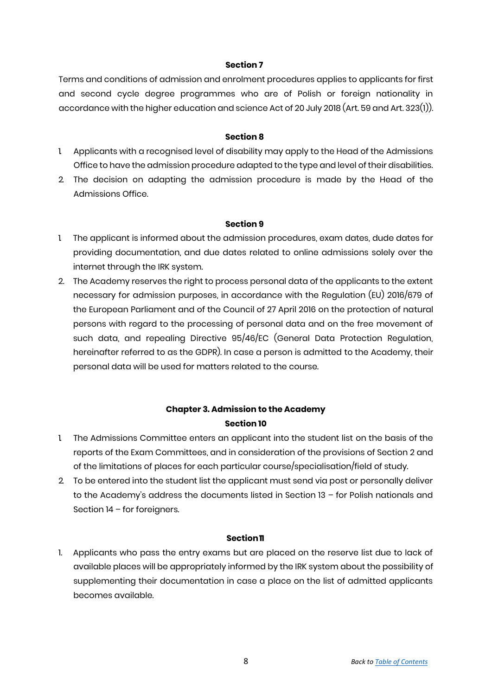Terms and conditions of admission and enrolment procedures applies to applicants for first and second cycle degree programmes who are of Polish or foreign nationality in accordance with the higher education and science Act of 20 July 2018 (Art. 59 and Art. 323(1)).

## **Section 8**

- 1. Applicants with a recognised level of disability may apply to the Head of the Admissions Office to have the admission procedure adapted to the type and level of their disabilities.
- 2. The decision on adapting the admission procedure is made by the Head of the Admissions Office.

## **Section 9**

- 1. The applicant is informed about the admission procedures, exam dates, dude dates for providing documentation, and due dates related to online admissions solely over the internet through the IRK system.
- 2. The Academy reserves the right to process personal data of the applicants to the extent necessary for admission purposes, in accordance with the Regulation (EU) 2016/679 of the European Parliament and of the Council of 27 April 2016 on the protection of natural persons with regard to the processing of personal data and on the free movement of such data, and repealing Directive 95/46/EC (General Data Protection Regulation, hereinafter referred to as the GDPR). In case a person is admitted to the Academy, their personal data will be used for matters related to the course.

## <span id="page-4-0"></span>**Chapter 3. Admission to the Academy Section 10**

- 1. The Admissions Committee enters an applicant into the student list on the basis of the reports of the Exam Committees, and in consideration of the provisions of Section 2 and of the limitations of places for each particular course/specialisation/field of study.
- 2. To be entered into the student list the applicant must send via post or personally deliver to the Academy's address the documents listed in Section 13 – for Polish nationals and Section 14 – for foreigners.

## **Section11**

1. Applicants who pass the entry exams but are placed on the reserve list due to lack of available places will be appropriately informed by the IRK system about the possibility of supplementing their documentation in case a place on the list of admitted applicants becomes available.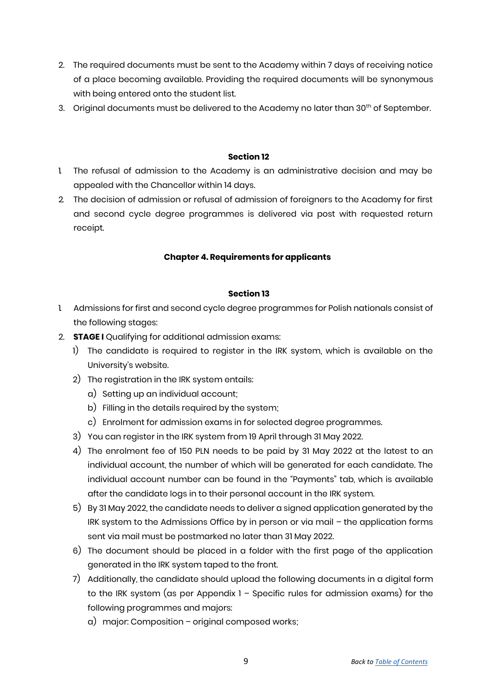- 2. The required documents must be sent to the Academy within 7 days of receiving notice of a place becoming available. Providing the required documents will be synonymous with being entered onto the student list.
- 3. Original documents must be delivered to the Academy no later than 30<sup>th</sup> of September.

- 1. The refusal of admission to the Academy is an administrative decision and may be appealed with the Chancellor within 14 days.
- 2. The decision of admission or refusal of admission of foreigners to the Academy for first and second cycle degree programmes is delivered via post with requested return receipt.

## <span id="page-5-0"></span>**Chapter 4. Requirements for applicants**

## **Section 13**

- 1. Admissions for first and second cycle degree programmes for Polish nationals consist of the following stages:
- 2. **STAGE I** Qualifying for additional admission exams:
	- 1) The candidate is required to register in the IRK system, which is available on the University's website.
	- 2) The registration in the IRK system entails:
		- a) Setting up an individual account;
		- b) Filling in the details required by the system;
		- c) Enrolment for admission exams in for selected degree programmes.
	- 3) You can register in the IRK system from 19 April through 31 May 2022.
	- 4) The enrolment fee of 150 PLN needs to be paid by 31 May 2022 at the latest to an individual account, the number of which will be generated for each candidate. The individual account number can be found in the "Payments" tab, which is available after the candidate logs in to their personal account in the IRK system.
	- 5) By 31 May 2022, the candidate needs to deliver a signed application generated by the IRK system to the Admissions Office by in person or via mail – the application forms sent via mail must be postmarked no later than 31 May 2022.
	- 6) The document should be placed in a folder with the first page of the application generated in the IRK system taped to the front.
	- 7) Additionally, the candidate should upload the following documents in a digital form to the IRK system (as per Appendix 1 – Specific rules for admission exams) for the following programmes and majors:
		- a) major: Composition original composed works;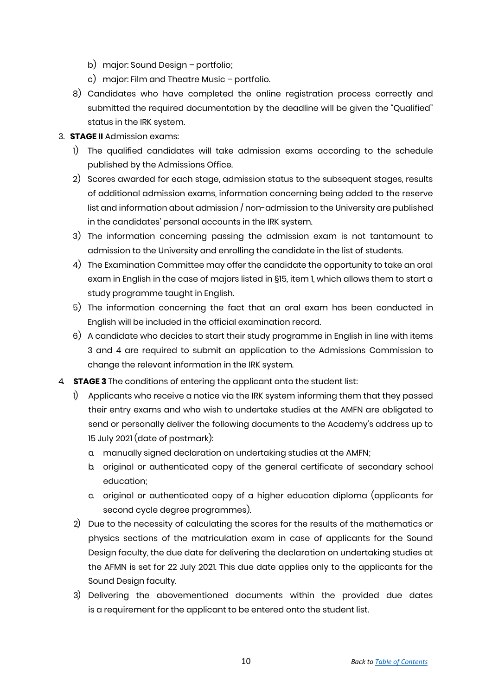- b) major: Sound Design portfolio;
- c) major: Film and Theatre Music portfolio.
- 8) Candidates who have completed the online registration process correctly and submitted the required documentation by the deadline will be given the "Qualified" status in the IRK system.

## 3. **STAGE II** Admission exams:

- 1) The qualified candidates will take admission exams according to the schedule published by the Admissions Office.
- 2) Scores awarded for each stage, admission status to the subsequent stages, results of additional admission exams, information concerning being added to the reserve list and information about admission / non-admission to the University are published in the candidates' personal accounts in the IRK system.
- 3) The information concerning passing the admission exam is not tantamount to admission to the University and enrolling the candidate in the list of students.
- 4) The Examination Committee may offer the candidate the opportunity to take an oral exam in English in the case of majors listed in §15, item 1, which allows them to start a study programme taught in English.
- 5) The information concerning the fact that an oral exam has been conducted in English will be included in the official examination record.
- 6) A candidate who decides to start their study programme in English in line with items 3 and 4 are required to submit an application to the Admissions Commission to change the relevant information in the IRK system.
- 4. **STAGE 3** The conditions of entering the applicant onto the student list:
	- 1) Applicants who receive a notice via the IRK system informing them that they passed their entry exams and who wish to undertake studies at the AMFN are obligated to send or personally deliver the following documents to the Academy's address up to 15 July 2021 (date of postmark):
		- a. manually signed declaration on undertaking studies at the AMFN;
		- b. original or authenticated copy of the general certificate of secondary school education;
		- c. original or authenticated copy of a higher education diploma (applicants for second cycle degree programmes).
	- 2) Due to the necessity of calculating the scores for the results of the mathematics or physics sections of the matriculation exam in case of applicants for the Sound Design faculty, the due date for delivering the declaration on undertaking studies at the AFMN is set for 22 July 2021. This due date applies only to the applicants for the Sound Design faculty.
	- 3) Delivering the abovementioned documents within the provided due dates is a requirement for the applicant to be entered onto the student list.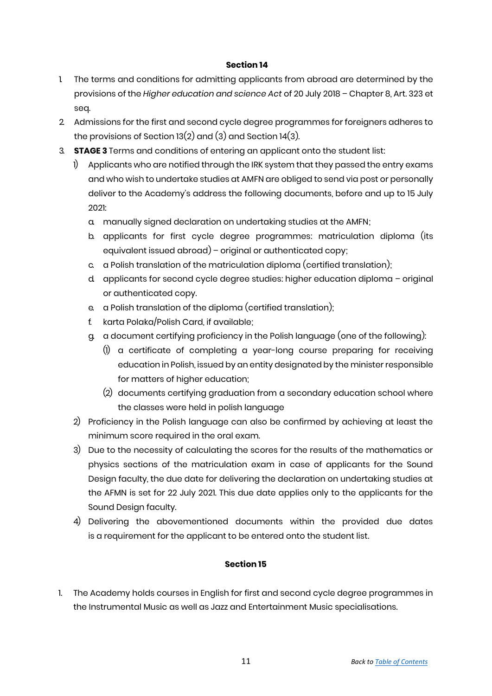- 1 The terms and conditions for admitting applicants from abroad are determined by the provisions of the *Higher education and science Act* of 20 July 2018 – Chapter 8, Art. 323 et seq.
- 2. Admissions for the first and second cycle degree programmes for foreigners adheres to the provisions of Section 13(2) and (3) and Section 14(3).
- 3. **STAGE 3** Terms and conditions of entering an applicant onto the student list:
	- 1) Applicants who are notified through the IRK system that they passed the entry exams and who wish to undertake studies at AMFN are obliged to send via post or personally deliver to the Academy's address the following documents, before and up to 15 July 2021:
		- a. manually signed declaration on undertaking studies at the AMFN;
		- b. applicants for first cycle degree programmes: matriculation diploma (its equivalent issued abroad) – original or authenticated copy;
		- c. a Polish translation of the matriculation diploma (certified translation);
		- d. applicants for second cycle degree studies: higher education diploma original or authenticated copy.
		- e. a Polish translation of the diploma (certified translation);
		- f. karta Polaka/Polish Card, if available;
		- g. a document certifying proficiency in the Polish language (one of the following):
			- (1) a certificate of completing a year-long course preparing for receiving education in Polish, issued by an entity designated by the minister responsible for matters of higher education;
			- (2) documents certifying graduation from a secondary education school where the classes were held in polish language
	- 2) Proficiency in the Polish language can also be confirmed by achieving at least the minimum score required in the oral exam.
	- 3) Due to the necessity of calculating the scores for the results of the mathematics or physics sections of the matriculation exam in case of applicants for the Sound Design faculty, the due date for delivering the declaration on undertaking studies at the AFMN is set for 22 July 2021. This due date applies only to the applicants for the Sound Design faculty.
	- 4) Delivering the abovementioned documents within the provided due dates is a requirement for the applicant to be entered onto the student list.

## **Section 15**

1. The Academy holds courses in English for first and second cycle degree programmes in the Instrumental Music as well as Jazz and Entertainment Music specialisations.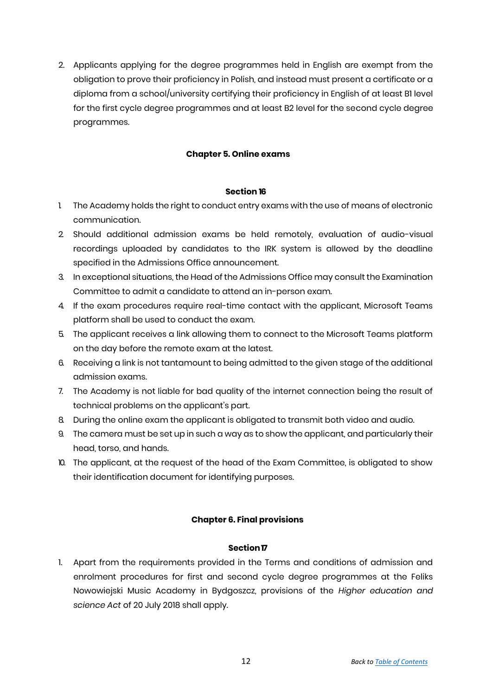2. Applicants applying for the degree programmes held in English are exempt from the obligation to prove their proficiency in Polish, and instead must present a certificate or a diploma from a school/university certifying their proficiency in English of at least B1 level for the first cycle degree programmes and at least B2 level for the second cycle degree programmes.

## **Chapter 5. Online exams**

#### <span id="page-8-0"></span>**Section 16**

- 1. The Academy holds the right to conduct entry exams with the use of means of electronic communication.
- 2. Should additional admission exams be held remotely, evaluation of audio-visual recordings uploaded by candidates to the IRK system is allowed by the deadline specified in the Admissions Office announcement.
- 3. In exceptional situations, the Head of the Admissions Office may consult the Examination Committee to admit a candidate to attend an in-person exam.
- 4. If the exam procedures require real-time contact with the applicant, Microsoft Teams platform shall be used to conduct the exam.
- 5. The applicant receives a link allowing them to connect to the Microsoft Teams platform on the day before the remote exam at the latest.
- 6. Receiving a link is not tantamount to being admitted to the given stage of the additional admission exams.
- 7. The Academy is not liable for bad quality of the internet connection being the result of technical problems on the applicant's part.
- 8. During the online exam the applicant is obligated to transmit both video and audio.
- 9. The camera must be set up in such a way as to show the applicant, and particularly their head, torso, and hands.
- 10. The applicant, at the request of the head of the Exam Committee, is obligated to show their identification document for identifying purposes.

#### **Chapter 6. Final provisions**

#### <span id="page-8-1"></span>**Section17**

1. Apart from the requirements provided in the Terms and conditions of admission and enrolment procedures for first and second cycle degree programmes at the Feliks Nowowiejski Music Academy in Bydgoszcz, provisions of the *Higher education and science Act* of 20 July 2018 shall apply.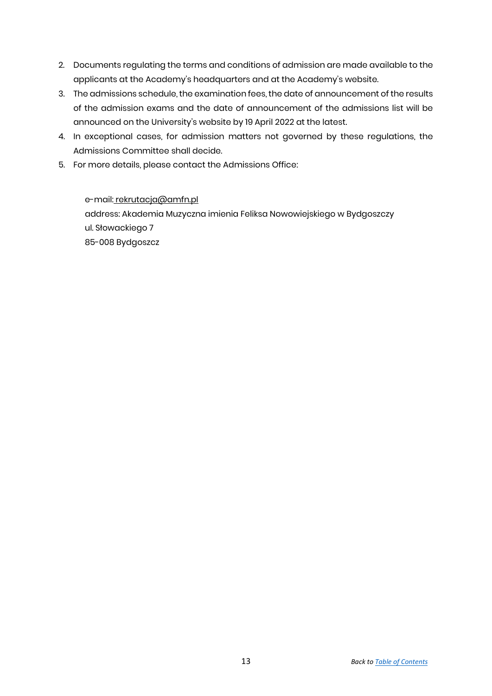- 2. Documents regulating the terms and conditions of admission are made available to the applicants at the Academy's headquarters and at the Academy's website.
- 3. The admissions schedule, the examination fees, the date of announcement of the results of the admission exams and the date of announcement of the admissions list will be announced on the University's website by 19 April 2022 at the latest.
- 4. In exceptional cases, for admission matters not governed by these regulations, the Admissions Committee shall decide.
- 5. For more details, please contact the Admissions Office:

e-mail: [rekrutacja@amfn.pl](mailto:rekrutacja@amfn.pl) address: Akademia Muzyczna imienia Feliksa Nowowiejskiego w Bydgoszczy ul. Słowackiego 7 85-008 Bydgoszcz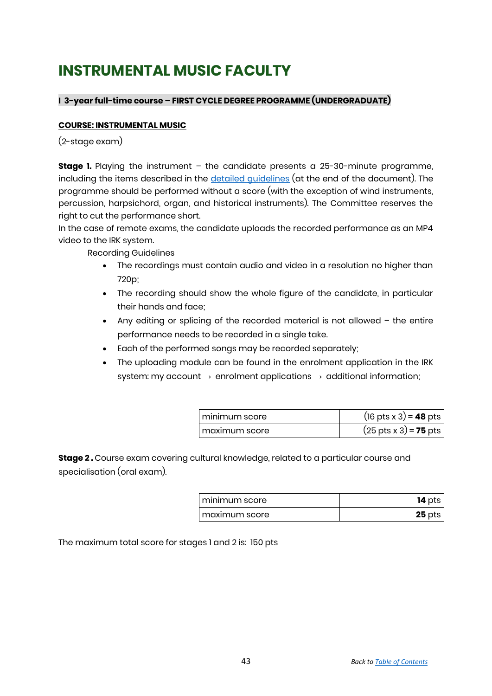## **INSTRUMENTAL MUSIC FACULTY**

## **I 3-year full-time course – FIRST CYCLE DEGREE PROGRAMME (UNDERGRADUATE)**

## <span id="page-10-0"></span>**COURSE: INSTRUMENTAL MUSIC**

(2-stage exam)

**Stage 1.** Playing the instrument - the candidate presents a 25-30-minute programme, including the items described in the [detailed guidelines](#page-20-0) (at the end of the document). The programme should be performed without a score (with the exception of wind instruments, percussion, harpsichord, organ, and historical instruments). The Committee reserves the right to cut the performance short.

In the case of remote exams, the candidate uploads the recorded performance as an MP4 video to the IRK system.

Recording Guidelines

- The recordings must contain audio and video in a resolution no higher than 720p;
- The recording should show the whole figure of the candidate, in particular their hands and face;
- Any editing or splicing of the recorded material is not allowed the entire performance needs to be recorded in a single take.
- Each of the performed songs may be recorded separately;
- The uploading module can be found in the enrolment application in the IRK system: my account  $\rightarrow$  enrolment applications  $\rightarrow$  additional information;

| I minimum score  | $(16 \text{ pts} \times 3) = 48 \text{ pts}$ |
|------------------|----------------------------------------------|
| l maximum score. | $(25 \text{ pts} \times 3) = 75 \text{ pts}$ |

**Stage 2 .** Course exam covering cultural knowledge, related to a particular course and specialisation (oral exam).

| I minimum score | <b>14</b> pts |
|-----------------|---------------|
| i maximum score | $25$ pts      |

The maximum total score for stages 1 and 2 is: 150 pts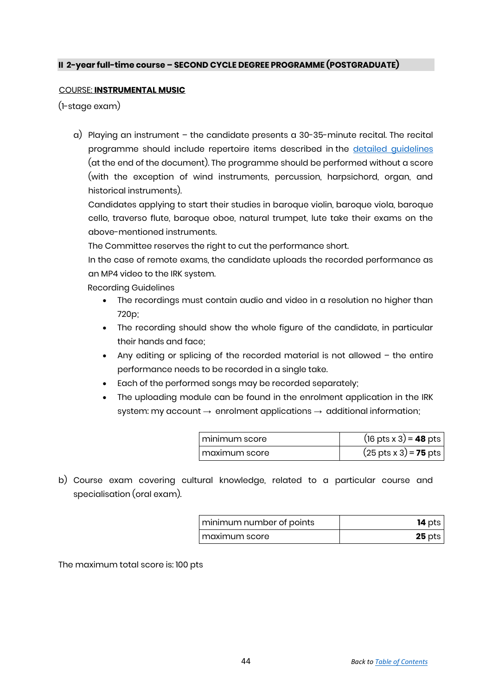## **II 2-year full-time course – SECOND CYCLE DEGREE PROGRAMME (POSTGRADUATE)**

## <span id="page-11-0"></span>COURSE: **INSTRUMENTAL MUSIC**

(1-stage exam)

a) Playing an instrument – the candidate presents a 30-35-minute recital. The recital programme should include repertoire items described in the [detailed guidelines](#page-20-0) (at the end of the document). The programme should be performed without a score (with the exception of wind instruments, percussion, harpsichord, organ, and historical instruments).

Candidates applying to start their studies in baroque violin, baroque viola, baroque cello, traverso flute, baroque oboe, natural trumpet, lute take their exams on the above-mentioned instruments.

The Committee reserves the right to cut the performance short.

In the case of remote exams, the candidate uploads the recorded performance as an MP4 video to the IRK system.

Recording Guidelines

- The recordings must contain audio and video in a resolution no higher than 720p;
- The recording should show the whole figure of the candidate, in particular their hands and face;
- Any editing or splicing of the recorded material is not allowed the entire performance needs to be recorded in a single take.
- Each of the performed songs may be recorded separately;
- The uploading module can be found in the enrolment application in the IRK system: my account  $\rightarrow$  enrolment applications  $\rightarrow$  additional information;

| I minimum score | $(16 \text{ pts} \times 3) = 48 \text{ pts}$ |
|-----------------|----------------------------------------------|
| I maximum score | $(25 \text{ pts} \times 3) = 75 \text{ pts}$ |

b) Course exam covering cultural knowledge, related to a particular course and specialisation (oral exam).

| minimum number of points | $14$ pts |
|--------------------------|----------|
| maximum score            | $25$ pts |

The maximum total score is: 100 pts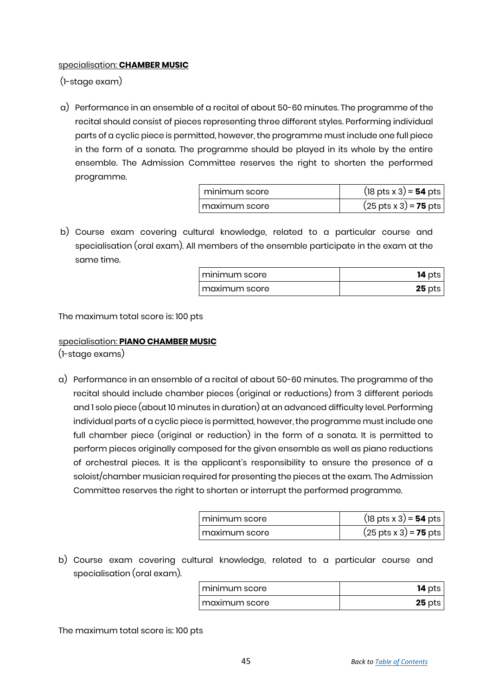## <span id="page-12-0"></span>specialisation: **CHAMBER MUSIC**

(1-stage exam)

a) Performance in an ensemble of a recital of about 50-60 minutes. The programme of the recital should consist of pieces representing three different styles. Performing individual parts of a cyclic piece is permitted, however, the programme must include one full piece in the form of a sonata. The programme should be played in its whole by the entire ensemble. The Admission Committee reserves the right to shorten the performed programme.

| minimum score   | $(18 \text{ pts} \times 3) = 54 \text{ pts}$ |
|-----------------|----------------------------------------------|
| I maximum score | $(25 \text{ pts} \times 3) = 75 \text{ pts}$ |

b) Course exam covering cultural knowledge, related to a particular course and specialisation (oral exam). All members of the ensemble participate in the exam at the same time.

| I minimum score | $14$ pts |
|-----------------|----------|
| T maximum score | $25$ pts |

The maximum total score is: 100 pts

## <span id="page-12-1"></span>specialisation: **PIANO CHAMBER MUSIC**

(1-stage exams)

a) Performance in an ensemble of a recital of about 50-60 minutes. The programme of the recital should include chamber pieces (original or reductions) from 3 different periods and 1 solo piece (about 10 minutes in duration) at an advanced difficulty level. Performing individual parts of a cyclic piece is permitted, however, the programme must include one full chamber piece (original or reduction) in the form of a sonata. It is permitted to perform pieces originally composed for the given ensemble as well as piano reductions of orchestral pieces. It is the applicant's responsibility to ensure the presence of a soloist/chamber musician required for presenting the pieces at the exam. The Admission Committee reserves the right to shorten or interrupt the performed programme.

| I minimum score | $(18 \text{ pts} \times 3) = 54 \text{ pts}$ |
|-----------------|----------------------------------------------|
| I maximum score | $(25 \text{ pts} \times 3) = 75 \text{ pts}$ |

b) Course exam covering cultural knowledge, related to a particular course and specialisation (oral exam).

| minimum score | $14$ pts |
|---------------|----------|
| maximum score | $25$ pts |

The maximum total score is: 100 pts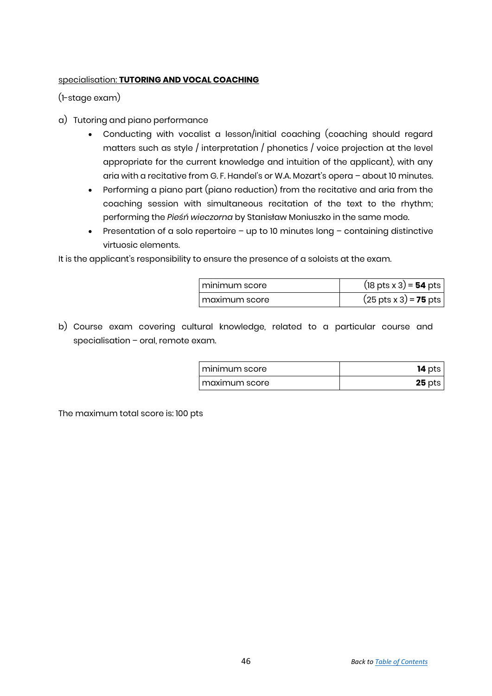## <span id="page-13-0"></span>specialisation: **TUTORING AND VOCAL COACHING**

(1-stage exam)

- a) Tutoring and piano performance
	- Conducting with vocalist a lesson/initial coaching (coaching should regard matters such as style / interpretation / phonetics / voice projection at the level appropriate for the current knowledge and intuition of the applicant), with any aria with a recitative from G. F. Handel's or W.A. Mozart's opera – about 10 minutes.
	- Performing a piano part (piano reduction) from the recitative and aria from the coaching session with simultaneous recitation of the text to the rhythm; performing the *Pieśń wieczorna* by Stanisław Moniuszko in the same mode.
	- **•** Presentation of a solo repertoire  $-$  up to 10 minutes long  $-$  containing distinctive virtuosic elements.

It is the applicant's responsibility to ensure the presence of a soloists at the exam.

| I minimum score | $(18 \text{ pts} \times 3) = 54 \text{ pts}$ |
|-----------------|----------------------------------------------|
| I maximum score | $(25 \text{ pts} \times 3) = 75 \text{ pts}$ |

b) Course exam covering cultural knowledge, related to a particular course and specialisation – oral, remote exam.

| i minimum score | $14$ pts |
|-----------------|----------|
| maximum score   | $25$ pts |

The maximum total score is: 100 pts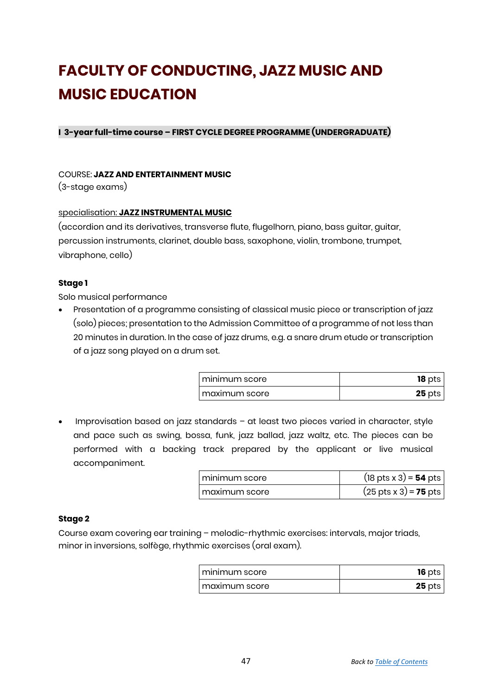# **FACULTY OF CONDUCTING, JAZZ MUSIC AND MUSIC EDUCATION**

**I 3-year full-time course – FIRST CYCLE DEGREE PROGRAMME (UNDERGRADUATE)**

## COURSE: **JAZZ AND ENTERTAINMENT MUSIC**

(3-stage exams)

## <span id="page-14-0"></span>specialisation: **JAZZ INSTRUMENTAL MUSIC**

(accordion and its derivatives, transverse flute, flugelhorn, piano, bass guitar, guitar, percussion instruments, clarinet, double bass, saxophone, violin, trombone, trumpet, vibraphone, cello)

## **Stage 1**

Solo musical performance

 Presentation of a programme consisting of classical music piece or transcription of jazz (solo) pieces; presentation to the Admission Committee of a programme of not less than 20 minutes in duration. In the case of jazz drums, e.g. a snare drum etude or transcription of a jazz song played on a drum set.

| I minimum score  | $18$ pts |
|------------------|----------|
| ı maxımum score- | $25$ pts |

• Improvisation based on jazz standards – at least two pieces varied in character, style and pace such as swing, bossa, funk, jazz ballad, jazz waltz, etc. The pieces can be performed with a backing track prepared by the applicant or live musical accompaniment.

| minimum score   | $(18 \text{ pts} \times 3) = 54 \text{ pts}$ |
|-----------------|----------------------------------------------|
| I maximum score | $(25 \text{ pts} \times 3) = 75 \text{ pts}$ |

## **Stage 2**

Course exam covering ear training – melodic-rhythmic exercises: intervals, major triads, minor in inversions, solfège, rhythmic exercises (oral exam).

| I minimum score | $16$ pts |
|-----------------|----------|
| I maximum score | $25$ pts |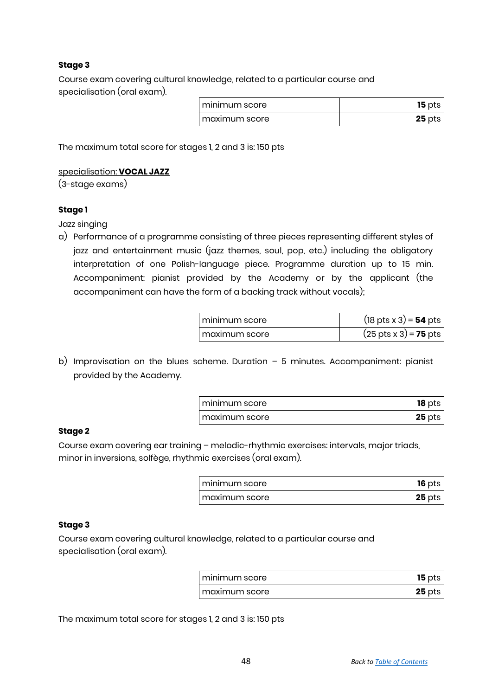## **Stage 3**

Course exam covering cultural knowledge, related to a particular course and specialisation (oral exam).

| I minimum score | $15$ pts |
|-----------------|----------|
| I maximum score | $25$ pts |

<span id="page-15-0"></span>The maximum total score for stages 1, 2 and 3 is: 150 pts

## specialisation: **VOCAL JAZZ**

(3-stage exams)

## **Stage 1**

Jazz singing

a) Performance of a programme consisting of three pieces representing different styles of jazz and entertainment music (jazz themes, soul, pop, etc.) including the obligatory interpretation of one Polish-language piece. Programme duration up to 15 min. Accompaniment: pianist provided by the Academy or by the applicant (the accompaniment can have the form of a backing track without vocals);

| I minimum score   | $(18 \text{ pts} \times 3) = 54 \text{ pts}$ |
|-------------------|----------------------------------------------|
| l maximum score l | $(25 \text{ pts} \times 3) = 75 \text{ pts}$ |

b) Improvisation on the blues scheme. Duration – 5 minutes. Accompaniment: pianist provided by the Academy.

| I minimum score | $18$ pts |
|-----------------|----------|
| I maximum score | $25$ pts |

## **Stage 2**

Course exam covering ear training – melodic-rhythmic exercises: intervals, major triads, minor in inversions, solfège, rhythmic exercises (oral exam).

| I minimum score | $16$ pts |
|-----------------|----------|
| I maximum score | $25$ pts |

#### **Stage 3**

Course exam covering cultural knowledge, related to a particular course and specialisation (oral exam).

| minimum score | $15$ pts |
|---------------|----------|
| maximum score | $25$ pts |

The maximum total score for stages 1, 2 and 3 is: 150 pts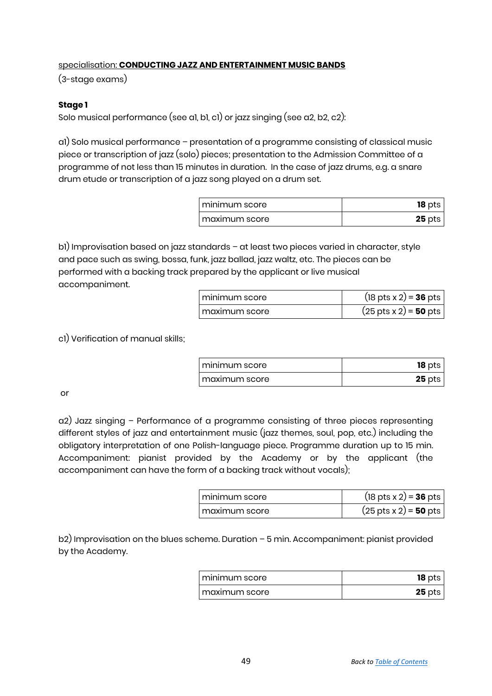## <span id="page-16-0"></span>specialisation: **CONDUCTING JAZZ AND ENTERTAINMENT MUSIC BANDS**

(3-stage exams)

## **Stage 1**

Solo musical performance (see a1, b1, c1) or jazz singing (see a2, b2, c2):

a1) Solo musical performance – presentation of a programme consisting of classical music piece or transcription of jazz (solo) pieces; presentation to the Admission Committee of a programme of not less than 15 minutes in duration. In the case of jazz drums, e.g. a snare drum etude or transcription of a jazz song played on a drum set.

| I minimum score | $18$ pts |
|-----------------|----------|
| l maxımum score | $25$ pts |

b1) Improvisation based on jazz standards – at least two pieces varied in character, style and pace such as swing, bossa, funk, jazz ballad, jazz waltz, etc. The pieces can be performed with a backing track prepared by the applicant or live musical accompaniment.

| l minimum score | $(18 \text{ pts} \times 2) = 36 \text{ pts}$ |
|-----------------|----------------------------------------------|
| I maximum score | $(25 \text{ pts} \times 2) = 50 \text{ pts}$ |

c1) Verification of manual skills;

| , minimum score | $18$ pts |
|-----------------|----------|
| maximum score   | $25$ pts |

or

a2) Jazz singing – Performance of a programme consisting of three pieces representing different styles of jazz and entertainment music (jazz themes, soul, pop, etc.) including the obligatory interpretation of one Polish-language piece. Programme duration up to 15 min. Accompaniment: pianist provided by the Academy or by the applicant (the accompaniment can have the form of a backing track without vocals);

| l minimum score l | $(18 \text{ pts} \times 2) = 36 \text{ pts}$ |
|-------------------|----------------------------------------------|
| maximum score     | $(25 \text{ pts} \times 2) = 50 \text{ pts}$ |

b2) Improvisation on the blues scheme. Duration – 5 min. Accompaniment: pianist provided by the Academy.

| minimum score | $18$ pts |
|---------------|----------|
| maximum score | $25$ pts |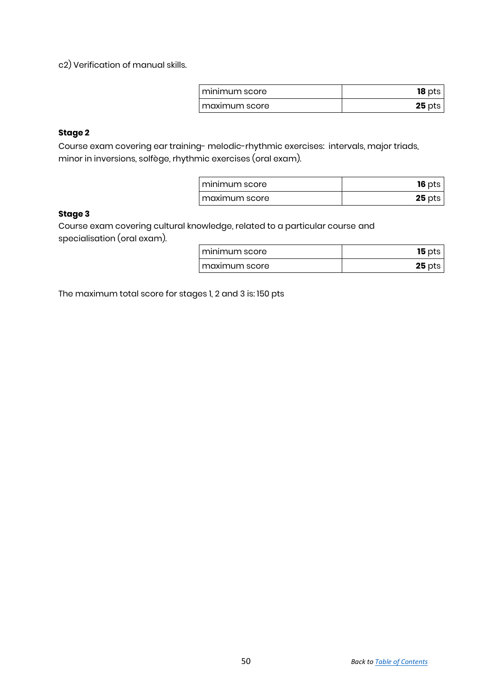c2) Verification of manual skills.

| I minimum score | $18$ pts |
|-----------------|----------|
| I maximum score | $25$ pts |

## **Stage 2**

Course exam covering ear training- melodic-rhythmic exercises: intervals, major triads, minor in inversions, solfège, rhythmic exercises (oral exam).

| I minimum score | $16$ pts |
|-----------------|----------|
| I maximum score | $25$ pts |

## **Stage 3**

Course exam covering cultural knowledge, related to a particular course and specialisation (oral exam).

| I minimum score | $15$ pts |
|-----------------|----------|
| I maximum score | $25$ pts |

The maximum total score for stages 1, 2 and 3 is: 150 pts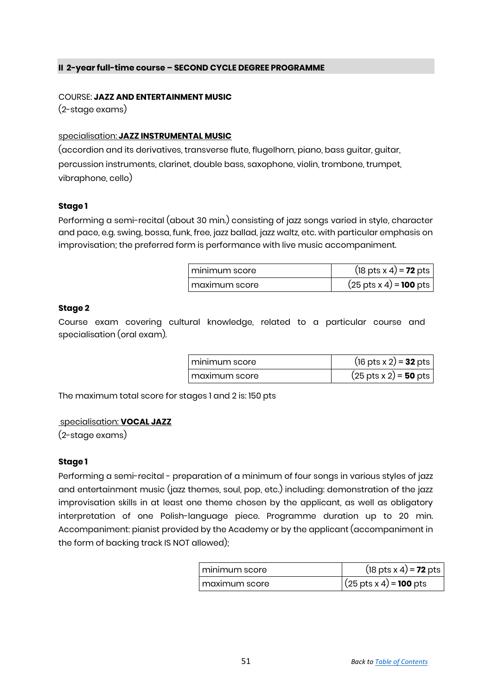## **II 2-year full-time course – SECOND CYCLE DEGREE PROGRAMME**

#### COURSE: **JAZZ AND ENTERTAINMENT MUSIC**

(2-stage exams)

## <span id="page-18-0"></span>specialisation: **JAZZ INSTRUMENTAL MUSIC**

(accordion and its derivatives, transverse flute, flugelhorn, piano, bass guitar, guitar, percussion instruments, clarinet, double bass, saxophone, violin, trombone, trumpet, vibraphone, cello)

## **Stage 1**

Performing a semi-recital (about 30 min.) consisting of jazz songs varied in style, character and pace, e.g. swing, bossa, funk, free, jazz ballad, jazz waltz, etc. with particular emphasis on improvisation; the preferred form is performance with live music accompaniment.

| I minimum score | $(18 \text{ pts} \times 4) = 72 \text{ pts}$  |
|-----------------|-----------------------------------------------|
| l maximum score | $(25 \text{ pts} \times 4) = 100 \text{ pts}$ |

## **Stage 2**

Course exam covering cultural knowledge, related to a particular course and specialisation (oral exam).

| I minimum score | $(16 \text{ pts} \times 2) = 32 \text{ pts}$ |
|-----------------|----------------------------------------------|
| I maximum score | $(25 \text{ pts} \times 2) = 50 \text{ pts}$ |

<span id="page-18-1"></span>The maximum total score for stages 1 and 2 is: 150 pts

## specialisation: **VOCAL JAZZ**

(2-stage exams)

## **Stage 1**

Performing a semi-recital - preparation of a minimum of four songs in various styles of jazz and entertainment music (jazz themes, soul, pop, etc.) including: demonstration of the jazz improvisation skills in at least one theme chosen by the applicant, as well as obligatory interpretation of one Polish-language piece. Programme duration up to 20 min. Accompaniment: pianist provided by the Academy or by the applicant (accompaniment in the form of backing track IS NOT allowed);

| I minimum score | $(18 \text{ pts} \times 4) = 72 \text{ pts}$  |
|-----------------|-----------------------------------------------|
| maximum score   | $(25 \text{ pts} \times 4) = 100 \text{ pts}$ |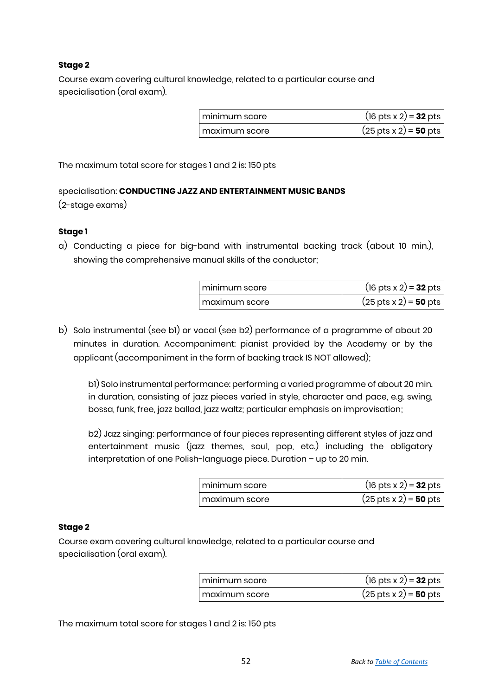## **Stage 2**

Course exam covering cultural knowledge, related to a particular course and specialisation (oral exam).

| l minimum score. | $(16 \text{ pts} \times 2) = 32 \text{ pts}$ |
|------------------|----------------------------------------------|
| l maximum score. | $(25 \text{ pts} \times 2) = 50 \text{ pts}$ |

The maximum total score for stages 1 and 2 is: 150 pts

## <span id="page-19-0"></span>specialisation: **CONDUCTING JAZZ AND ENTERTAINMENT MUSIC BANDS**  (2-stage exams)

## **Stage 1**

a) Conducting a piece for big-band with instrumental backing track (about 10 min.), showing the comprehensive manual skills of the conductor;

| l minimum score. | $(16 \text{ pts} \times 2) = 32 \text{ pts}$ |
|------------------|----------------------------------------------|
| maximum score    | $(25 \text{ pts} \times 2) = 50 \text{ pts}$ |

b) Solo instrumental (see b1) or vocal (see b2) performance of a programme of about 20 minutes in duration. Accompaniment: pianist provided by the Academy or by the applicant (accompaniment in the form of backing track IS NOT allowed);

b1) Solo instrumental performance: performing a varied programme of about 20 min. in duration, consisting of jazz pieces varied in style, character and pace, e.g. swing, bossa, funk, free, jazz ballad, jazz waltz; particular emphasis on improvisation;

b2) Jazz singing: performance of four pieces representing different styles of jazz and entertainment music (jazz themes, soul, pop, etc.) including the obligatory interpretation of one Polish-language piece. Duration – up to 20 min.

| I minimum score | $(16 \text{ pts} \times 2) = 32 \text{ pts}$ |
|-----------------|----------------------------------------------|
| I maximum score | $(25 \text{ pts} \times 2) = 50 \text{ pts}$ |

## **Stage 2**

Course exam covering cultural knowledge, related to a particular course and specialisation (oral exam).

| I minimum score | $(16 \text{ pts} \times 2) = 32 \text{ pts}$ |
|-----------------|----------------------------------------------|
| l maximum score | $(25 \text{ pts} \times 2) = 50 \text{ pts}$ |

The maximum total score for stages 1 and 2 is: 150 pts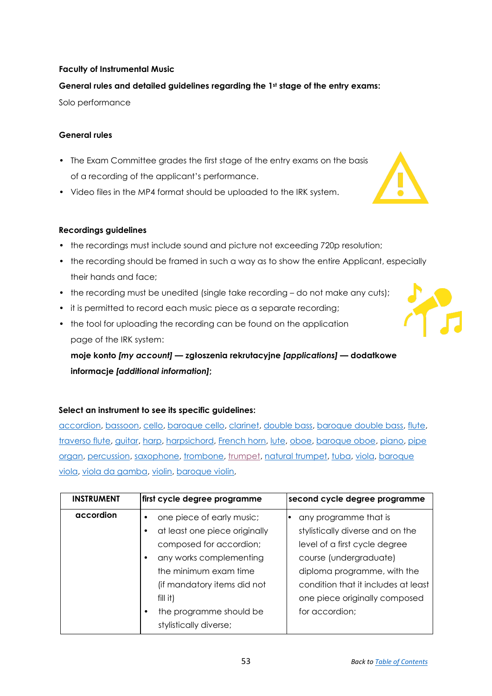## <span id="page-20-0"></span>**Faculty of Instrumental Music**

## **General rules and detailed guidelines regarding the 1st stage of the entry exams:**

Solo performance

## **General rules**

- The Exam Committee grades the first stage of the entry exams on the basis of a recording of the applicant's performance.
- Video files in the MP4 format should be uploaded to the IRK system.

#### **Recordings guidelines**

- the recordings must include sound and picture not exceeding 720p resolution;
- the recording should be framed in such a way as to show the entire Applicant, especially their hands and face;
- the recording must be unedited (single take recording do not make any cuts);
- it is permitted to record each music piece as a separate recording;
- the tool for uploading the recording can be found on the application page of the IRK system:

**moje konto** *[my account]* **— zgłoszenia rekrutacyjne** *[applications]* **— dodatkowe informacje** *[additional information]***;**

#### **Select an instrument to see its specific guidelines:**

[accordion,](#page-20-1) [bassoon,](#page-23-0) [cello,](#page-27-0) [baroque cello,](#page-26-0) [clarinet,](#page-23-0) [double bass,](#page-24-0) [baroque double bass,](#page-26-0) [flute,](#page-23-0) [traverso flute,](#page-21-0) [guitar,](#page-22-0) [harp,](#page-23-1) [harpsichord,](#page-24-1) [French horn,](#page-23-0) [lute,](#page-24-2) [oboe,](#page-23-0) [baroque oboe,](#page-21-0) [piano,](#page-22-1) [pipe](#page-24-3)  [organ,](#page-24-3) [percussion,](#page-25-0) [saxophone,](#page-23-0) [trombone, trumpet,](#page-23-0) [natural trumpet,](#page-26-1) [tuba,](#page-23-0) [viola,](#page-21-1) [baroque](#page-21-2)  [viola,](#page-21-2) [viola da gamba,](#page-26-0) [violin,](#page-25-1) [baroque violin,](#page-26-0)

<span id="page-20-1"></span>

| <b>INSTRUMENT</b> | first cycle degree programme  | second cycle degree programme       |
|-------------------|-------------------------------|-------------------------------------|
| accordion         | one piece of early music;     | any programme that is               |
|                   | at least one piece originally | stylistically diverse and on the    |
|                   | composed for accordion;       | level of a first cycle degree       |
|                   | any works complementing       | course (undergraduate)              |
|                   | the minimum exam time         | diploma programme, with the         |
|                   | (if mandatory items did not   | condition that it includes at least |
|                   | $fill$ it)                    | one piece originally composed       |
|                   | the programme should be       | for accordion;                      |
|                   | stylistically diverse;        |                                     |



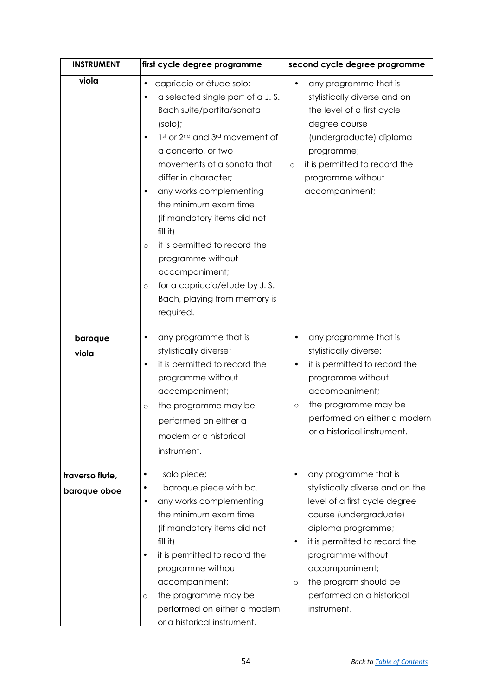<span id="page-21-2"></span><span id="page-21-1"></span><span id="page-21-0"></span>

| <b>INSTRUMENT</b>               | first cycle degree programme                                                                                                                                                                                                                                                                                                                                                                                                                                                                                  | second cycle degree programme                                                                                                                                                                                                                                                                                        |
|---------------------------------|---------------------------------------------------------------------------------------------------------------------------------------------------------------------------------------------------------------------------------------------------------------------------------------------------------------------------------------------------------------------------------------------------------------------------------------------------------------------------------------------------------------|----------------------------------------------------------------------------------------------------------------------------------------------------------------------------------------------------------------------------------------------------------------------------------------------------------------------|
| viola                           | capriccio or étude solo;<br>$\bullet$<br>a selected single part of a J.S.<br>Bach suite/partita/sonata<br>$(solo)$ ;<br>1st or 2nd and 3rd movement of<br>a concerto, or two<br>movements of a sonata that<br>differ in character;<br>any works complementing<br>the minimum exam time<br>(if mandatory items did not<br>fill it)<br>it is permitted to record the<br>$\circ$<br>programme without<br>accompaniment;<br>for a capriccio/étude by J.S.<br>$\circ$<br>Bach, playing from memory is<br>required. | any programme that is<br>$\bullet$<br>stylistically diverse and on<br>the level of a first cycle<br>degree course<br>(undergraduate) diploma<br>programme;<br>it is permitted to record the<br>$\circ$<br>programme without<br>accompaniment;                                                                        |
| baroque<br>viola                | any programme that is<br>٠<br>stylistically diverse;<br>it is permitted to record the<br>٠<br>programme without<br>accompaniment;<br>the programme may be<br>$\circ$<br>performed on either a<br>modern or a historical<br>instrument.                                                                                                                                                                                                                                                                        | any programme that is<br>٠<br>stylistically diverse;<br>it is permitted to record the<br>programme without<br>accompaniment;<br>the programme may be<br>$\circ$<br>performed on either a modern<br>or a historical instrument.                                                                                       |
| traverso flute,<br>baroque oboe | solo piece;<br>٠<br>baroque piece with bc.<br>any works complementing<br>$\bullet$<br>the minimum exam time<br>(if mandatory items did not<br>fill it)<br>it is permitted to record the<br>$\bullet$<br>programme without<br>accompaniment;<br>the programme may be<br>$\circ$<br>performed on either a modern<br><u>or a historical instrument.</u>                                                                                                                                                          | any programme that is<br>$\bullet$<br>stylistically diverse and on the<br>level of a first cycle degree<br>course (undergraduate)<br>diploma programme;<br>it is permitted to record the<br>٠<br>programme without<br>accompaniment;<br>the program should be<br>$\circ$<br>performed on a historical<br>instrument. |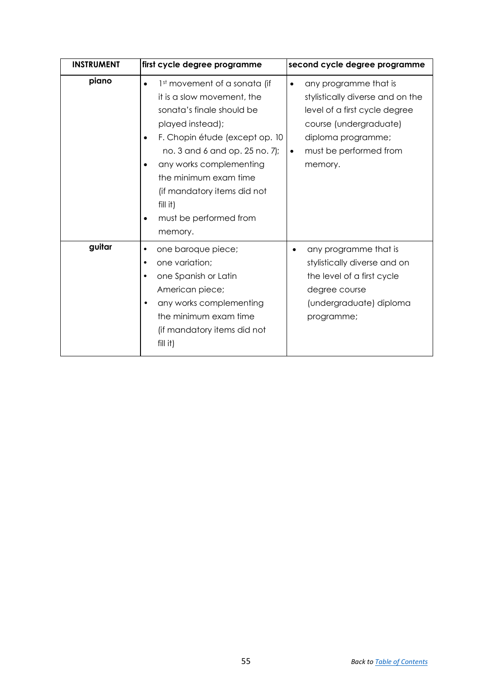<span id="page-22-1"></span><span id="page-22-0"></span>

| <b>INSTRUMENT</b> | first cycle degree programme                                                                                                                                                                                                                                                                                                          | second cycle degree programme                                                                                                                                                                             |
|-------------------|---------------------------------------------------------------------------------------------------------------------------------------------------------------------------------------------------------------------------------------------------------------------------------------------------------------------------------------|-----------------------------------------------------------------------------------------------------------------------------------------------------------------------------------------------------------|
| piano             | 1st movement of a sonata (if<br>$\bullet$<br>it is a slow movement, the<br>sonata's finale should be<br>played instead);<br>F. Chopin étude (except op. 10<br>no. 3 and 6 and op. 25 no. 7);<br>any works complementing<br>the minimum exam time<br>(if mandatory items did not<br>fill it)<br>must be performed from<br>٠<br>memory. | any programme that is<br>$\bullet$<br>stylistically diverse and on the<br>level of a first cycle degree<br>course (undergraduate)<br>diploma programme;<br>must be performed from<br>$\bullet$<br>memory. |
| guitar            | one baroque piece;<br>٠<br>one variation;<br>٠<br>one Spanish or Latin<br>American piece;<br>any works complementing<br>$\bullet$<br>the minimum exam time<br>(if mandatory items did not<br>$fill$ it)                                                                                                                               | any programme that is<br>٠<br>stylistically diverse and on<br>the level of a first cycle<br>degree course<br>(undergraduate) diploma<br>programme;                                                        |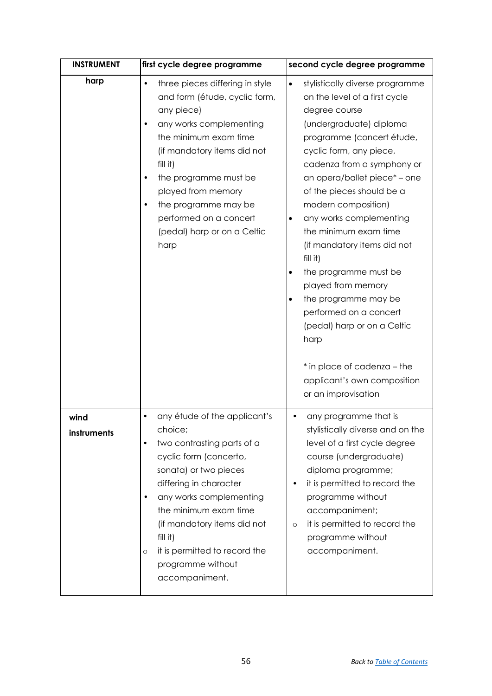<span id="page-23-1"></span><span id="page-23-0"></span>

| <b>INSTRUMENT</b>   | first cycle degree programme                                                                                                                                                                                                                                                                                                                              | second cycle degree programme                                                                                                                                                                                                                                                                                                                                                                                                                                                                                                                                                                                                        |
|---------------------|-----------------------------------------------------------------------------------------------------------------------------------------------------------------------------------------------------------------------------------------------------------------------------------------------------------------------------------------------------------|--------------------------------------------------------------------------------------------------------------------------------------------------------------------------------------------------------------------------------------------------------------------------------------------------------------------------------------------------------------------------------------------------------------------------------------------------------------------------------------------------------------------------------------------------------------------------------------------------------------------------------------|
| harp                | three pieces differing in style<br>$\bullet$<br>and form (étude, cyclic form,<br>any piece)<br>any works complementing<br>$\bullet$<br>the minimum exam time<br>(if mandatory items did not<br>fill it)<br>the programme must be<br>٠<br>played from memory<br>the programme may be<br>٠<br>performed on a concert<br>(pedal) harp or on a Celtic<br>harp | stylistically diverse programme<br>$\bullet$<br>on the level of a first cycle<br>degree course<br>(undergraduate) diploma<br>programme (concert étude,<br>cyclic form, any piece,<br>cadenza from a symphony or<br>an opera/ballet piece* - one<br>of the pieces should be a<br>modern composition)<br>any works complementing<br>٠<br>the minimum exam time<br>(if mandatory items did not<br>fill it)<br>the programme must be<br>played from memory<br>the programme may be<br>performed on a concert<br>(pedal) harp or on a Celtic<br>harp<br>* in place of cadenza - the<br>applicant's own composition<br>or an improvisation |
| wind<br>instruments | any étude of the applicant's<br>٠<br>choice;<br>two contrasting parts of a<br>cyclic form (concerto,<br>sonata) or two pieces<br>differing in character<br>any works complementing<br>$\bullet$<br>the minimum exam time<br>(if mandatory items did not<br>fill it)<br>it is permitted to record the<br>O<br>programme without<br>accompaniment.          | any programme that is<br>stylistically diverse and on the<br>level of a first cycle degree<br>course (undergraduate)<br>diploma programme;<br>it is permitted to record the<br>programme without<br>accompaniment;<br>it is permitted to record the<br>$\circ$<br>programme without<br>accompaniment.                                                                                                                                                                                                                                                                                                                                |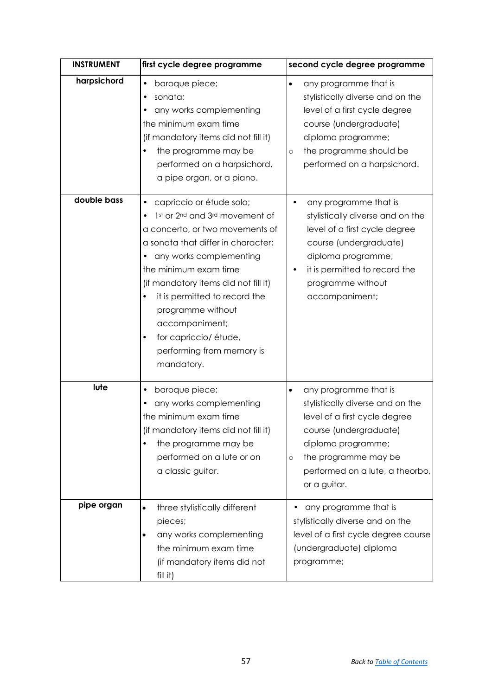<span id="page-24-3"></span><span id="page-24-2"></span><span id="page-24-1"></span><span id="page-24-0"></span>

| <b>INSTRUMENT</b> | first cycle degree programme                                                                                                                                                                                                                                                                                                                                                             | second cycle degree programme                                                                                                                                                                                                                 |
|-------------------|------------------------------------------------------------------------------------------------------------------------------------------------------------------------------------------------------------------------------------------------------------------------------------------------------------------------------------------------------------------------------------------|-----------------------------------------------------------------------------------------------------------------------------------------------------------------------------------------------------------------------------------------------|
| harpsichord       | baroque piece;<br>٠<br>sonata;<br>any works complementing<br>the minimum exam time<br>(if mandatory items did not fill it)<br>the programme may be<br>performed on a harpsichord,<br>a pipe organ, or a piano.                                                                                                                                                                           | any programme that is<br>$\bullet$<br>stylistically diverse and on the<br>level of a first cycle degree<br>course (undergraduate)<br>diploma programme;<br>the programme should be<br>$\circ$<br>performed on a harpsichord.                  |
| double bass       | capriccio or étude solo;<br>1st or 2nd and 3rd movement of<br>a concerto, or two movements of<br>a sonata that differ in character;<br>any works complementing<br>the minimum exam time<br>(if mandatory items did not fill it)<br>it is permitted to record the<br>programme without<br>accompaniment;<br>for capriccio/ étude,<br>$\bullet$<br>performing from memory is<br>mandatory. | any programme that is<br>$\bullet$<br>stylistically diverse and on the<br>level of a first cycle degree<br>course (undergraduate)<br>diploma programme;<br>it is permitted to record the<br>programme without<br>accompaniment;               |
| lute              | baroque piece;<br>any works complementing<br>the minimum exam time<br>(if mandatory items did not fill it)<br>the programme may be<br>performed on a lute or on<br>a classic guitar.                                                                                                                                                                                                     | any programme that is<br>$\bullet$<br>stylistically diverse and on the<br>level of a first cycle degree<br>course (undergraduate)<br>diploma programme;<br>the programme may be<br>$\circ$<br>performed on a lute, a theorbo,<br>or a guitar. |
| pipe organ        | three stylistically different<br>$\bullet$<br>pieces;<br>any works complementing<br>the minimum exam time<br>(if mandatory items did not<br>fill it)                                                                                                                                                                                                                                     | any programme that is<br>stylistically diverse and on the<br>level of a first cycle degree course<br>(undergraduate) diploma<br>programme;                                                                                                    |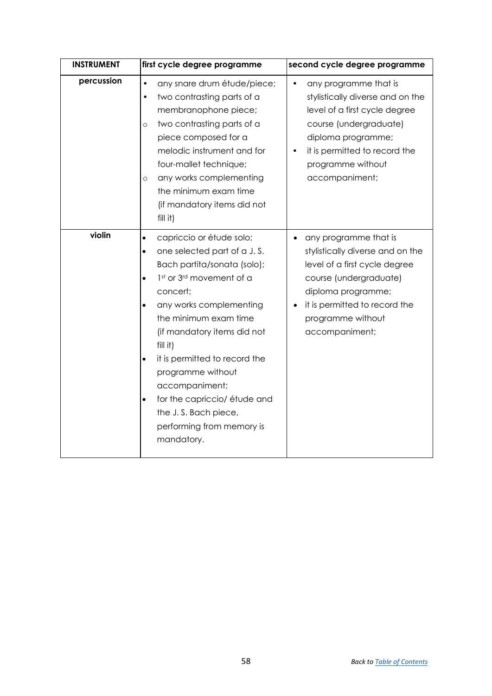<span id="page-25-1"></span><span id="page-25-0"></span>

| <b>INSTRUMENT</b> | first cycle degree programme                                                                                                                                                                                                                                                                                                                                                                                                                                                           | second cycle degree programme                                                                                                                                                                                                                |
|-------------------|----------------------------------------------------------------------------------------------------------------------------------------------------------------------------------------------------------------------------------------------------------------------------------------------------------------------------------------------------------------------------------------------------------------------------------------------------------------------------------------|----------------------------------------------------------------------------------------------------------------------------------------------------------------------------------------------------------------------------------------------|
| percussion        | $\bullet$<br>any snare drum étude/piece;<br>two contrasting parts of a<br>$\bullet$<br>membranophone piece;<br>two contrasting parts of a<br>$\circ$<br>piece composed for a<br>melodic instrument and for<br>four-mallet technique;<br>any works complementing<br>$\circ$<br>the minimum exam time<br>(if mandatory items did not<br>$fill$ it)                                                                                                                                       | any programme that is<br>$\bullet$<br>stylistically diverse and on the<br>level of a first cycle degree<br>course (undergraduate)<br>diploma programme;<br>it is permitted to record the<br>$\bullet$<br>programme without<br>accompaniment; |
| violin            | capriccio or étude solo;<br>$\bullet$<br>one selected part of a J.S.<br>$\bullet$<br>Bach partita/sonata (solo);<br>1st or 3rd movement of a<br>$\bullet$<br>concert;<br>any works complementing<br>$\bullet$<br>the minimum exam time<br>(if mandatory items did not<br>fill it)<br>it is permitted to record the<br>$\bullet$<br>programme without<br>accompaniment;<br>for the capriccio/ étude and<br>$\bullet$<br>the J.S. Bach piece,<br>performing from memory is<br>mandatory. | any programme that is<br>$\bullet$<br>stylistically diverse and on the<br>level of a first cycle degree<br>course (undergraduate)<br>diploma programme;<br>it is permitted to record the<br>programme without<br>accompaniment;              |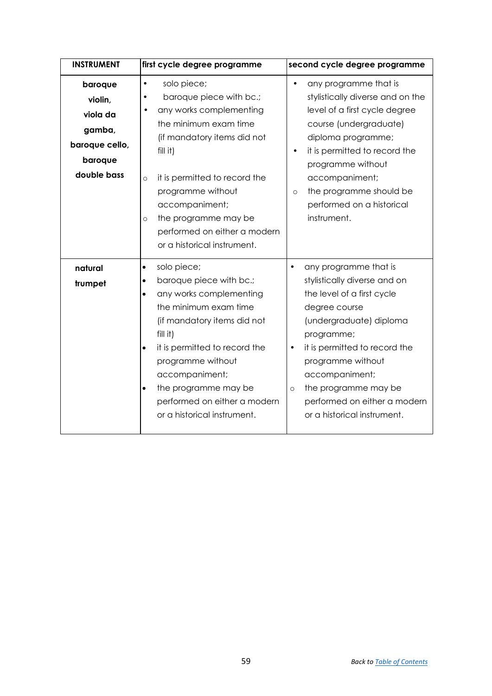<span id="page-26-1"></span><span id="page-26-0"></span>

| <b>INSTRUMENT</b>                                                                    | first cycle degree programme                                                                                                                                                                                                                                                                                                                                          | second cycle degree programme                                                                                                                                                                                                                                                                                                                     |
|--------------------------------------------------------------------------------------|-----------------------------------------------------------------------------------------------------------------------------------------------------------------------------------------------------------------------------------------------------------------------------------------------------------------------------------------------------------------------|---------------------------------------------------------------------------------------------------------------------------------------------------------------------------------------------------------------------------------------------------------------------------------------------------------------------------------------------------|
| baroque<br>violin,<br>viola da<br>gamba,<br>baroque cello,<br>baroque<br>double bass | solo piece;<br>٠<br>baroque piece with bc.;<br>any works complementing<br>$\bullet$<br>the minimum exam time<br>(if mandatory items did not<br>$fill$ it)<br>it is permitted to record the<br>$\circ$<br>programme without<br>accompaniment;<br>the programme may be<br>$\circ$<br>performed on either a modern<br>or a historical instrument.                        | any programme that is<br>$\bullet$<br>stylistically diverse and on the<br>level of a first cycle degree<br>course (undergraduate)<br>diploma programme;<br>it is permitted to record the<br>$\bullet$<br>programme without<br>accompaniment;<br>the programme should be<br>$\circ$<br>performed on a historical<br>instrument.                    |
| natural<br>trumpet                                                                   | solo piece;<br>$\bullet$<br>baroque piece with bc.;<br>$\bullet$<br>any works complementing<br>$\bullet$<br>the minimum exam time<br>(if mandatory items did not<br>fill it)<br>it is permitted to record the<br>$\bullet$<br>programme without<br>accompaniment;<br>the programme may be<br>$\bullet$<br>performed on either a modern<br>or a historical instrument. | any programme that is<br>$\bullet$<br>stylistically diverse and on<br>the level of a first cycle<br>degree course<br>(undergraduate) diploma<br>programme;<br>it is permitted to record the<br>$\bullet$<br>programme without<br>accompaniment;<br>the programme may be<br>$\circ$<br>performed on either a modern<br>or a historical instrument. |